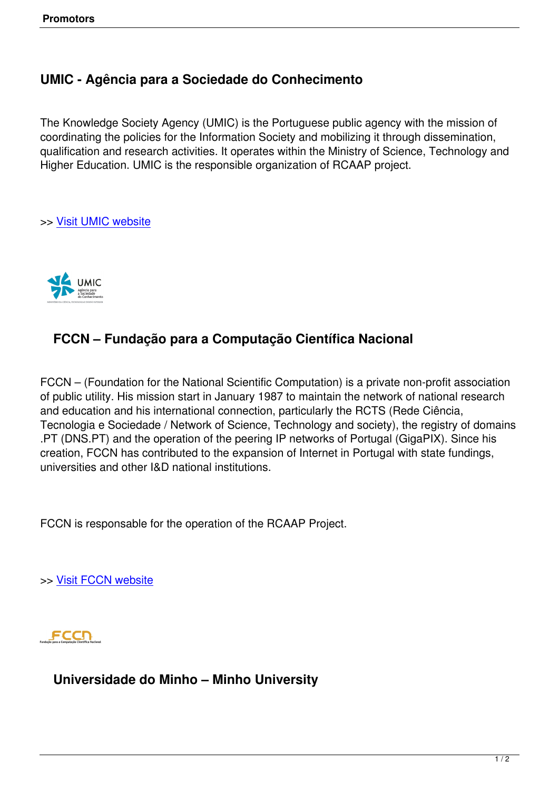## **UMIC - Agência para a Sociedade do Conhecimento**

The Knowledge Society Agency (UMIC) is the Portuguese public agency with the mission of coordinating the policies for the Information Society and mobilizing it through dissemination, qualification and research activities. It operates within the Ministry of Science, Technology and Higher Education. UMIC is the responsible organization of RCAAP project.

>> Visit UMIC website



## **FCCN – Fundação para a Computação Científica Nacional**

FCCN – (Foundation for the National Scientific Computation) is a private non-profit association of public utility. His mission start in January 1987 to maintain the network of national research and education and his international connection, particularly the RCTS (Rede Ciência, Tecnologia e Sociedade / Network of Science, Technology and society), the registry of domains .PT (DNS.PT) and the operation of the peering IP networks of Portugal (GigaPIX). Since his creation, FCCN has contributed to the expansion of Internet in Portugal with state fundings, universities and other I&D national institutions.

FCCN is responsable for the operation of the RCAAP Project.

>> Visit FCCN website

FCCT

**Universidade do Minho – Minho University**